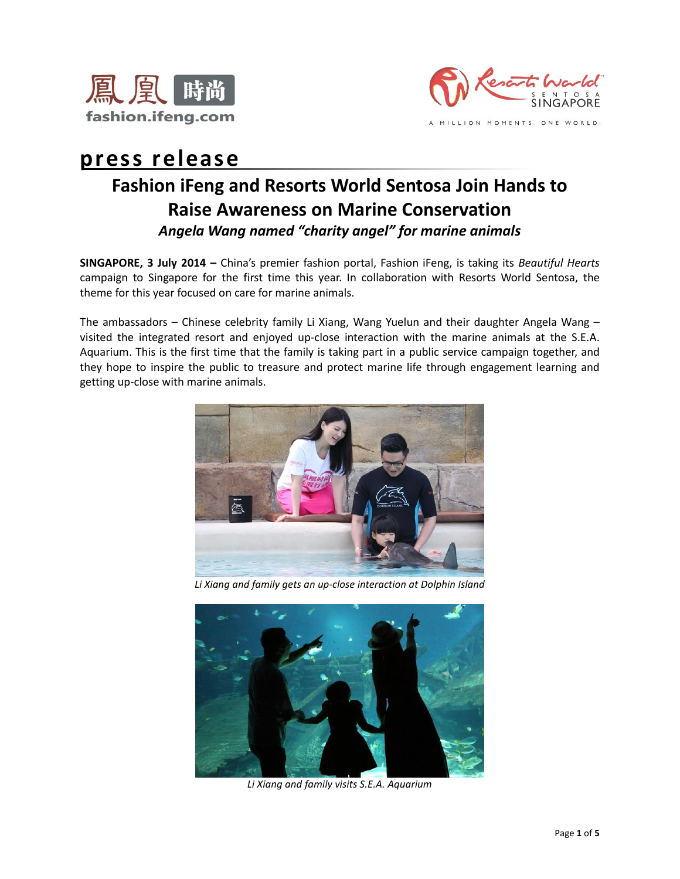



# **press release**

## **Fashion iFeng and Resorts World Sentosa Join Hands to Raise Awareness on Marine Conservation** *Angela Wang named "charity angel" for marine animals*

**SINGAPORE, 3 July 2014 –** China's premier fashion portal, Fashion iFeng, is taking its *Beautiful Hearts* campaign to Singapore for the first time this year. In collaboration with Resorts World Sentosa, the theme for this year focused on care for marine animals.

The ambassadors – Chinese celebrity family Li Xiang, Wang Yuelun and their daughter Angela Wang – visited the integrated resort and enjoyed up-close interaction with the marine animals at the S.E.A. Aquarium. This is the first time that the family is taking part in a public service campaign together, and they hope to inspire the public to treasure and protect marine life through engagement learning and getting up-close with marine animals.



*Li Xiang and family gets an up-close interaction at Dolphin Island*



*Li Xiang and family visits S.E.A. Aquarium*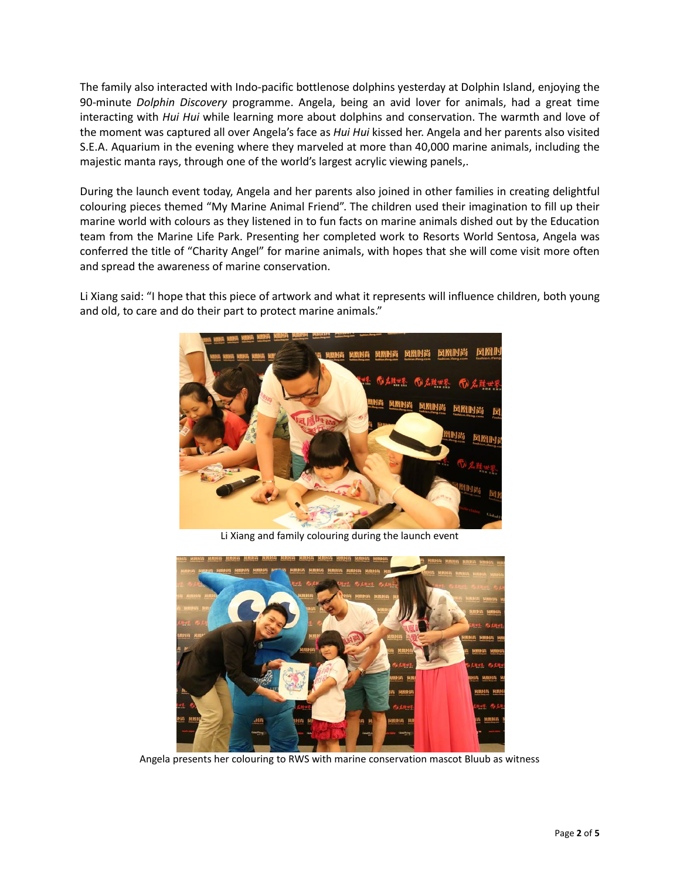The family also interacted with Indo-pacific bottlenose dolphins yesterday at Dolphin Island, enjoying the 90-minute *Dolphin Discovery* programme. Angela, being an avid lover for animals, had a great time interacting with *Hui Hui* while learning more about dolphins and conservation. The warmth and love of the moment was captured all over Angela's face as *Hui Hui* kissed her. Angela and her parents also visited S.E.A. Aquarium in the evening where they marveled at more than 40,000 marine animals, including the majestic manta rays, through one of the world's largest acrylic viewing panels,.

During the launch event today, Angela and her parents also joined in other families in creating delightful colouring pieces themed "My Marine Animal Friend". The children used their imagination to fill up their marine world with colours as they listened in to fun facts on marine animals dished out by the Education team from the Marine Life Park. Presenting her completed work to Resorts World Sentosa, Angela was conferred the title of "Charity Angel" for marine animals, with hopes that she will come visit more often and spread the awareness of marine conservation.

Li Xiang said: "I hope that this piece of artwork and what it represents will influence children, both young and old, to care and do their part to protect marine animals."



Li Xiang and family colouring during the launch event



Angela presents her colouring to RWS with marine conservation mascot Bluub as witness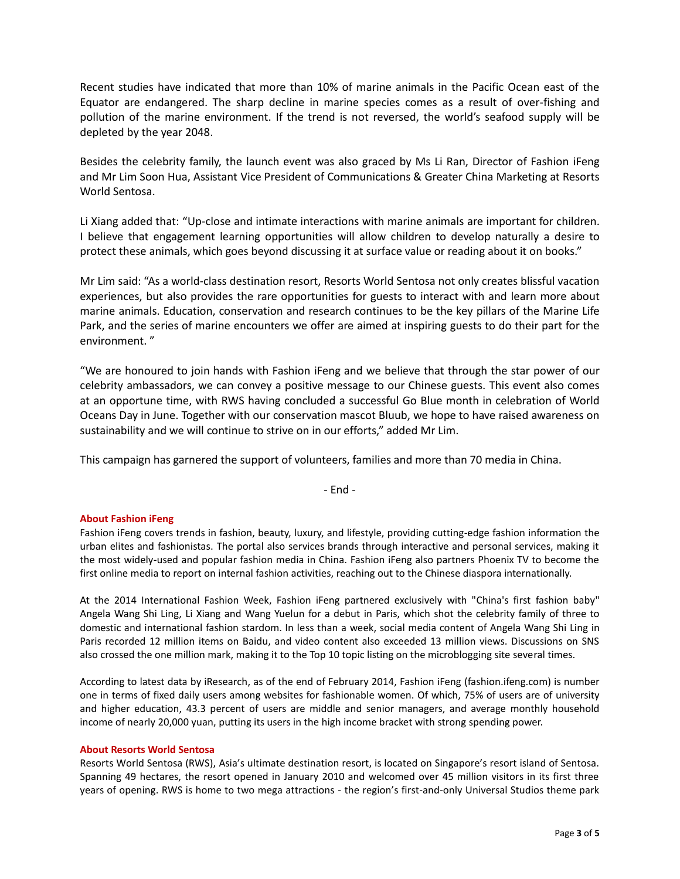Recent studies have indicated that more than 10% of marine animals in the Pacific Ocean east of the Equator are endangered. The sharp decline in marine species comes as a result of over-fishing and pollution of the marine environment. If the trend is not reversed, the world's seafood supply will be depleted by the year 2048.

Besides the celebrity family, the launch event was also graced by Ms Li Ran, Director of Fashion iFeng and Mr Lim Soon Hua, Assistant Vice President of Communications & Greater China Marketing at Resorts World Sentosa.

Li Xiang added that: "Up-close and intimate interactions with marine animals are important for children. I believe that engagement learning opportunities will allow children to develop naturally a desire to protect these animals, which goes beyond discussing it at surface value or reading about it on books."

Mr Lim said: "As a world-class destination resort, Resorts World Sentosa not only creates blissful vacation experiences, but also provides the rare opportunities for guests to interact with and learn more about marine animals. Education, conservation and research continues to be the key pillars of the Marine Life Park, and the series of marine encounters we offer are aimed at inspiring guests to do their part for the environment. "

"We are honoured to join hands with Fashion iFeng and we believe that through the star power of our celebrity ambassadors, we can convey a positive message to our Chinese guests. This event also comes at an opportune time, with RWS having concluded a successful Go Blue month in celebration of World Oceans Day in June. Together with our conservation mascot Bluub, we hope to have raised awareness on sustainability and we will continue to strive on in our efforts," added Mr Lim.

This campaign has garnered the support of volunteers, families and more than 70 media in China.

- End -

### **About Fashion iFeng**

Fashion iFeng covers trends in fashion, beauty, luxury, and lifestyle, providing cutting-edge fashion information the urban elites and fashionistas. The portal also services brands through interactive and personal services, making it the most widely-used and popular fashion media in China. Fashion iFeng also partners Phoenix TV to become the first online media to report on internal fashion activities, reaching out to the Chinese diaspora internationally.

At the 2014 International Fashion Week, Fashion iFeng partnered exclusively with "China's first fashion baby" Angela Wang Shi Ling, Li Xiang and Wang Yuelun for a debut in Paris, which shot the celebrity family of three to domestic and international fashion stardom. In less than a week, social media content of Angela Wang Shi Ling in Paris recorded 12 million items on Baidu, and video content also exceeded 13 million views. Discussions on SNS also crossed the one million mark, making it to the Top 10 topic listing on the microblogging site several times.

According to latest data by iResearch, as of the end of February 2014, Fashion iFeng (fashion.ifeng.com) is number one in terms of fixed daily users among websites for fashionable women. Of which, 75% of users are of university and higher education, 43.3 percent of users are middle and senior managers, and average monthly household income of nearly 20,000 yuan, putting its users in the high income bracket with strong spending power.

#### **About Resorts World Sentosa**

Resorts World Sentosa (RWS), Asia's ultimate destination resort, is located on Singapore's resort island of Sentosa. Spanning 49 hectares, the resort opened in January 2010 and welcomed over 45 million visitors in its first three years of opening. RWS is home to two mega attractions - the region's first-and-only Universal Studios theme park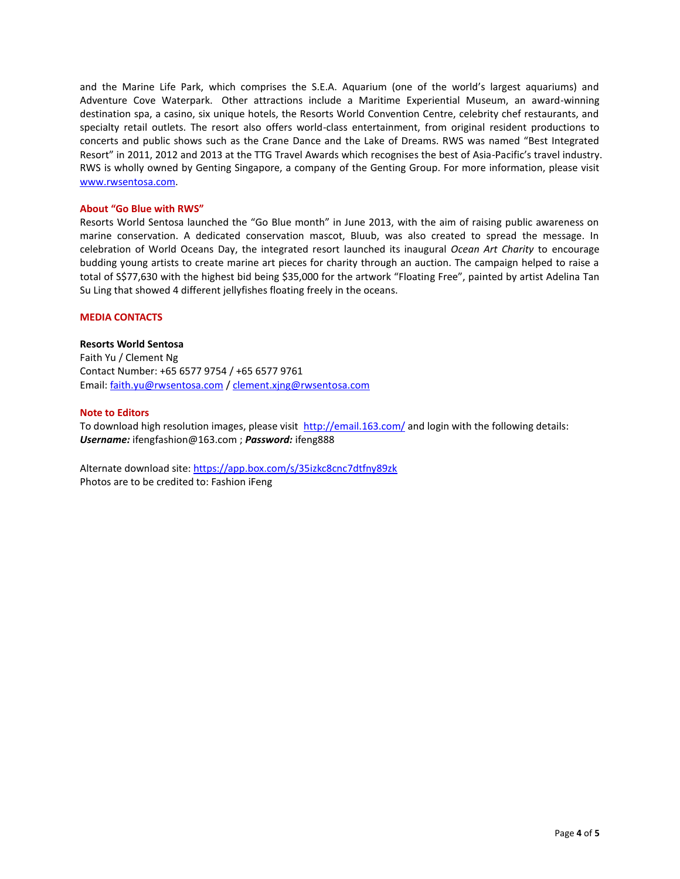and the Marine Life Park, which comprises the S.E.A. Aquarium (one of the world's largest aquariums) and Adventure Cove Waterpark. Other attractions include a Maritime Experiential Museum, an award-winning destination spa, a casino, six unique hotels, the Resorts World Convention Centre, celebrity chef restaurants, and specialty retail outlets. The resort also offers world-class entertainment, from original resident productions to concerts and public shows such as the Crane Dance and the Lake of Dreams. RWS was named "Best Integrated Resort" in 2011, 2012 and 2013 at the TTG Travel Awards which recognises the best of Asia-Pacific's travel industry. RWS is wholly owned by Genting Singapore, a company of the Genting Group. For more information, please visit [www.rwsentosa.com.](http://www.rwsentosa.com/)

#### **About "Go Blue with RWS"**

Resorts World Sentosa launched the "Go Blue month" in June 2013, with the aim of raising public awareness on marine conservation. A dedicated conservation mascot, Bluub, was also created to spread the message. In celebration of World Oceans Day, the integrated resort launched its inaugural *Ocean Art Charity* to encourage budding young artists to create marine art pieces for charity through an auction. The campaign helped to raise a total of S\$77,630 with the highest bid being \$35,000 for the artwork "Floating Free", painted by artist Adelina Tan Su Ling that showed 4 different jellyfishes floating freely in the oceans.

#### **MEDIA CONTACTS**

#### **Resorts World Sentosa**

Faith Yu / Clement Ng Contact Number: +65 6577 9754 / +65 6577 9761 Email: [faith.yu@rwsentosa.com](mailto:faith.yu@rwsentosa.com) [/ clement.xjng@rwsentosa.com](mailto:clement.xjng@rwsentosa.com)

#### **Note to Editors**

To download high resolution images, please visit <http://email.163.com/> and login with the following details: *Username:* ifengfashion@163.com ; *Password:* ifeng888

Alternate download site:<https://app.box.com/s/35izkc8cnc7dtfny89zk> Photos are to be credited to: Fashion iFeng